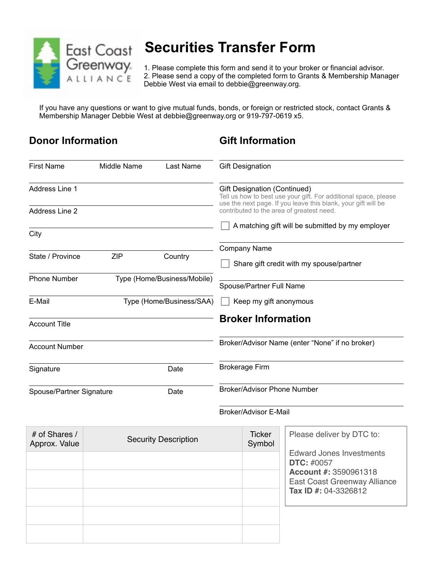

# **East Coast Securities Transfer Form**

**Greenway** 1. Please complete this form and send it to your broker or financial advisor.<br>A L L I A N C E 2. Please send a copy of the completed form to Grants & Membership Mana 2. Please send a copy of the completed form to Grants & Membership Manager Debbie West via email to debbie@greenway.org.

If you have any questions or want to give mutual funds, bonds, or foreign or restricted stock, contact Grants & Membership Manager Debbie West at debbie@greenway.org or 919-797-0619 x5.

## **Donor Information**

### **Gift Information**

| <b>First Name</b>                                  | Middle Name                 | Last Name                | <b>Gift Designation</b>                         |                                                                                                                                  |  |
|----------------------------------------------------|-----------------------------|--------------------------|-------------------------------------------------|----------------------------------------------------------------------------------------------------------------------------------|--|
| Address Line 1                                     |                             |                          | Gift Designation (Continued)                    | Tell us how to best use your gift. For additional space, please<br>use the next page. If you leave this blank, your gift will be |  |
| Address Line 2                                     |                             |                          | contributed to the area of greatest need.       |                                                                                                                                  |  |
| City                                               |                             |                          |                                                 | A matching gift will be submitted by my employer                                                                                 |  |
|                                                    |                             |                          | Company Name                                    |                                                                                                                                  |  |
| State / Province                                   | <b>ZIP</b>                  | Country                  | Share gift credit with my spouse/partner        |                                                                                                                                  |  |
| <b>Phone Number</b><br>Type (Home/Business/Mobile) |                             | Spouse/Partner Full Name |                                                 |                                                                                                                                  |  |
| E-Mail<br>Type (Home/Business/SAA)                 |                             | Keep my gift anonymous   |                                                 |                                                                                                                                  |  |
| <b>Account Title</b>                               |                             |                          | <b>Broker Information</b>                       |                                                                                                                                  |  |
| <b>Account Number</b>                              |                             |                          | Broker/Advisor Name (enter "None" if no broker) |                                                                                                                                  |  |
| Signature<br>Date                                  |                             | <b>Brokerage Firm</b>    |                                                 |                                                                                                                                  |  |
| Spouse/Partner Signature<br>Date                   |                             |                          | <b>Broker/Advisor Phone Number</b>              |                                                                                                                                  |  |
|                                                    |                             |                          | Broker/Advisor E-Mail                           |                                                                                                                                  |  |
| # of Shares /<br>Approx. Value                     | <b>Security Description</b> |                          | <b>Ticker</b><br>Symbol                         | Please deliver by DTC to:<br><b>Edward Jones Investments</b>                                                                     |  |
|                                                    |                             |                          |                                                 | <b>DTC: #0057</b><br><b>Account #: 3590961318</b><br>East Coast Greenway Alliance<br>Tax ID #: 04-3326812                        |  |
|                                                    |                             |                          |                                                 |                                                                                                                                  |  |
|                                                    |                             |                          |                                                 |                                                                                                                                  |  |